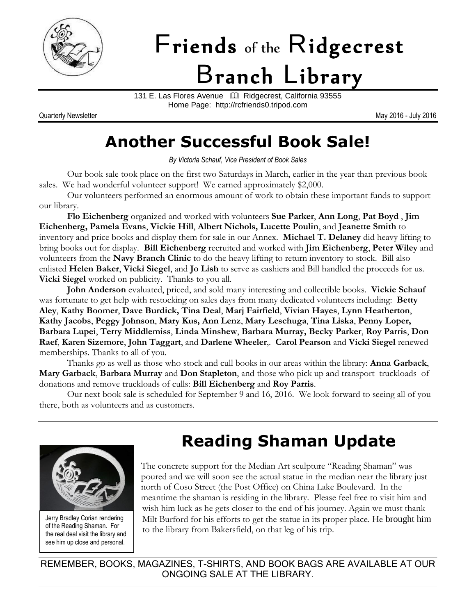

# Friends of the Ridgecrest Branch Library

131 E. Las Flores Avenue <sup>1</sup> Ridgecrest, California 93555 Home Page: http://rcfriends0.tripod.com

Quarterly Newsletter May 2016 - July 2016

### **Another Successful Book Sale!**

*By Victoria Schauf, Vice President of Book Sales*

Our book sale took place on the first two Saturdays in March, earlier in the year than previous book sales. We had wonderful volunteer support! We earned approximately \$2,000.

Our volunteers performed an enormous amount of work to obtain these important funds to support our library.

**Flo Eichenberg** organized and worked with volunteers **Sue Parker**, **Ann Long**, **Pat Boyd** , **Jim Eichenberg, Pamela Evans**, **Vickie Hill**, **Albert Nichols, Lucette Poulin**, and **Jeanette Smith** to inventory and price books and display them for sale in our Annex. **Michael T. Delaney** did heavy lifting to bring books out for display. **Bill Eichenberg** recruited and worked with **Jim Eichenberg**, **Peter Wiley** and volunteers from the **Navy Branch Clinic** to do the heavy lifting to return inventory to stock. Bill also enlisted **Helen Baker**, **Vicki Siegel**, and **Jo Lish** to serve as cashiers and Bill handled the proceeds for us. **Vicki Siegel** worked on publicity. Thanks to you all.

**John Anderson** evaluated, priced, and sold many interesting and collectible books. **Vickie Schauf** was fortunate to get help with restocking on sales days from many dedicated volunteers including: **Betty Aley**, **Kathy Boomer**, **Dave Burdick, Tina Deal**, **Marj Fairfield**, **Vivian Hayes**, **Lynn Heatherton**, **Kathy Jacobs**, **Peggy Johnson**, **Mary Kus, Ann Lenz**, **Mary Leschuga**, **Tina Liska**, **Penny Loper, Barbara Lupei**, **Terry Middlemiss**, **Linda Minshew**, **Barbara Murray, Becky Parker**, **Roy Parris**, **Don Raef**, **Karen Sizemore**, **John Taggart**, and **Darlene Wheeler**,. **Carol Pearson** and **Vicki Siegel** renewed memberships. Thanks to all of you.

Thanks go as well as those who stock and cull books in our areas within the library: **Anna Garback**, **Mary Garback**, **Barbara Murray** and **Don Stapleton**, and those who pick up and transport truckloads of donations and remove truckloads of culls: **Bill Eichenberg** and **Roy Parris**.

Our next book sale is scheduled for September 9 and 16, 2016. We look forward to seeing all of you there, both as volunteers and as customers.



Jerry Bradley Corian rendering of the Reading Shaman. For the real deal visit the library and see him up close and personal.

# **Reading Shaman Update**

The concrete support for the Median Art sculpture "Reading Shaman" was poured and we will soon see the actual statue in the median near the library just north of Coso Street (the Post Office) on China Lake Boulevard. In the meantime the shaman is residing in the library. Please feel free to visit him and wish him luck as he gets closer to the end of his journey. Again we must thank Milt Burford for his efforts to get the statue in its proper place. He brought him to the library from Bakersfield, on that leg of his trip.

REMEMBER, BOOKS, MAGAZINES, T-SHIRTS, AND BOOK BAGS ARE AVAILABLE AT OUR ONGOING SALE AT THE LIBRARY.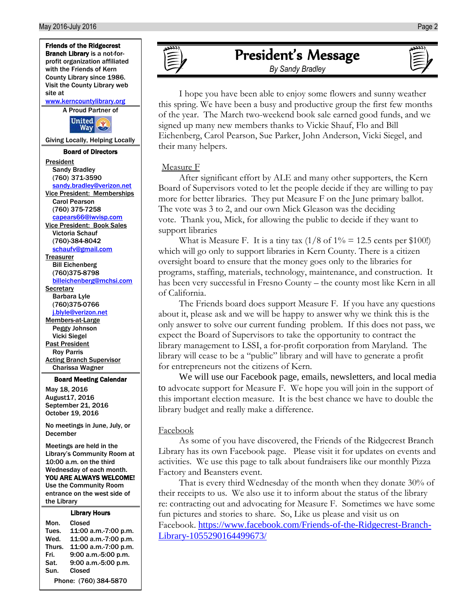

| Mon.                  | Closed               |  |
|-----------------------|----------------------|--|
| Tues.                 | 11:00 a.m.-7:00 p.m. |  |
| Wed.                  | 11:00 a.m.-7:00 p.m. |  |
| Thurs.                | 11:00 a.m.-7:00 p.m. |  |
| Fri.                  | 9:00 a.m.-5:00 p.m.  |  |
| Sat.                  | 9:00 a.m.-5:00 p.m.  |  |
| Sun.                  | Closed               |  |
| Phone: (760) 384-5870 |                      |  |

### President's Message

*By Sandy Bradley*

I hope you have been able to enjoy some flowers and sunny weather this spring. We have been a busy and productive group the first few months of the year. The March two-weekend book sale earned good funds, and we signed up many new members thanks to Vickie Shauf, Flo and Bill Eichenberg, Carol Pearson, Sue Parker, John Anderson, Vicki Siegel, and their many helpers.

#### Measure F

After significant effort by ALE and many other supporters, the Kern Board of Supervisors voted to let the people decide if they are willing to pay more for better libraries. They put Measure F on the June primary ballot. The vote was 3 to 2, and our own Mick Gleason was the deciding vote. Thank you, Mick, for allowing the public to decide if they want to support libraries

What is Measure F. It is a tiny tax  $(1/8 \text{ of } 1\% = 12.5 \text{ cents per } $100!)$ which will go only to support libraries in Kern County. There is a citizen oversight board to ensure that the money goes only to the libraries for programs, staffing, materials, technology, maintenance, and construction. It has been very successful in Fresno County – the county most like Kern in all of California.

The Friends board does support Measure F. If you have any questions about it, please ask and we will be happy to answer why we think this is the only answer to solve our current funding problem. If this does not pass, we expect the Board of Supervisors to take the opportunity to contract the library management to LSSI, a for-profit corporation from Maryland. The library will cease to be a "public" library and will have to generate a profit for entrepreneurs not the citizens of Kern.

We will use our Facebook page, emails, newsletters, and local media to advocate support for Measure F. We hope you will join in the support of this important election measure. It is the best chance we have to double the library budget and really make a difference.

#### Facebook

As some of you have discovered, the Friends of the Ridgecrest Branch Library has its own Facebook page. Please visit it for updates on events and activities. We use this page to talk about fundraisers like our monthly Pizza Factory and Beansters event.

That is every third Wednesday of the month when they donate 30% of their receipts to us. We also use it to inform about the status of the library re: contracting out and advocating for Measure F. Sometimes we have some fun pictures and stories to share. So, Like us please and visit us on Facebook. [https://www.facebook.com/Friends-of-the-Ridgecrest-Branch-](https://www.facebook.com/Friends-of-the-Ridgecrest-Branch-Library-1055290164499673/)[Library-1055290164499673/](https://www.facebook.com/Friends-of-the-Ridgecrest-Branch-Library-1055290164499673/)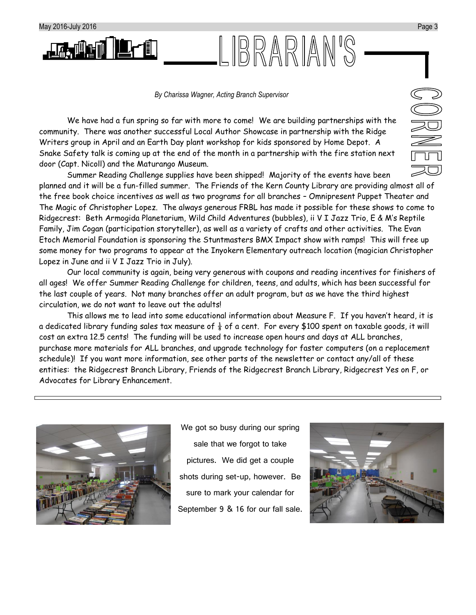

We have had a fun spring so far with more to come! We are building partnerships with the community. There was another successful Local Author Showcase in partnership with the Ridge Writers group in April and an Earth Day plant workshop for kids sponsored by Home Depot. A Snake Safety talk is coming up at the end of the month in a partnership with the fire station next door (Capt. Nicoll) and the Maturango Museum.

Summer Reading Challenge supplies have been shipped! Majority of the events have been planned and it will be a fun-filled summer. The Friends of the Kern County Library are providing almost all of the free book choice incentives as well as two programs for all branches – Omnipresent Puppet Theater and The Magic of Christopher Lopez. The always generous FRBL has made it possible for these shows to come to Ridgecrest: Beth Armogida Planetarium, Wild Child Adventures (bubbles), ii V I Jazz Trio, E & M's Reptile Family, Jim Cogan (participation storyteller), as well as a variety of crafts and other activities. The Evan Etoch Memorial Foundation is sponsoring the Stuntmasters BMX Impact show with ramps! This will free up some money for two programs to appear at the Inyokern Elementary outreach location (magician Christopher Lopez in June and ii V I Jazz Trio in July).

LIBRARIAN'S

Our local community is again, being very generous with coupons and reading incentives for finishers of all ages! We offer Summer Reading Challenge for children, teens, and adults, which has been successful for the last couple of years. Not many branches offer an adult program, but as we have the third highest circulation, we do not want to leave out the adults!

This allows me to lead into some educational information about Measure F. If you haven't heard, it is a dedicated library funding sales tax measure of  $\frac{1}{8}$  of a cent. For every \$100 spent on taxable goods, it will cost an extra 12.5 cents! The funding will be used to increase open hours and days at ALL branches, purchase more materials for ALL branches, and upgrade technology for faster computers (on a replacement schedule)! If you want more information, see other parts of the newsletter or contact any/all of these entities: the Ridgecrest Branch Library, Friends of the Ridgecrest Branch Library, Ridgecrest Yes on F, or Advocates for Library Enhancement.



We got so busy during our spring sale that we forgot to take pictures. We did get a couple shots during set-up, however. Be sure to mark your calendar for September 9 & 16 for our fall sale.

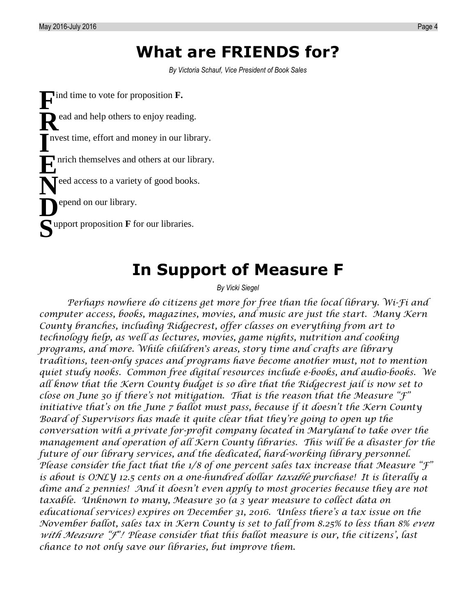### **What are FRIENDS for?**

*By Victoria Schauf, Vice President of Book Sales*

**F** ind time to vote for proposition **F.** ead and help others to enjoy reading. nvest time, effort and money in our library. nrich themselves and others at our library.  $\sum$ eed access to a variety of good books. epend on our library. upport proposition **F** for our libraries. **SR I E D**

## **In Support of Measure F**

#### *By Vicki Siegel*

*Perhaps nowhere do citizens get more for free than the local library. Wi-Fi and computer access, books, magazines, movies, and music are just the start. Many Kern County branches, including Ridgecrest, offer classes on everything from art to technology help, as well as lectures, movies, game nights, nutrition and cooking programs, and more. While children's areas, story time and crafts are library traditions, teen-only spaces and programs have become another must, not to mention quiet study nooks. Common free digital resources include e-books, and audio-books. We all know that the Kern County budget is so dire that the Ridgecrest jail is now set to close on June 30 if there's not mitigation. That is the reason that the Measure "F" initiative that's on the June 7 ballot must pass, because if it doesn't the Kern County Board of Supervisors has made it quite clear that they're going to open up the conversation with a private for-profit company located in Maryland to take over the management and operation of all Kern County libraries. This will be a disaster for the future of our library services, and the dedicated, hard-working library personnel. Please consider the fact that the 1/8 of one percent sales tax increase that Measure "F" is about is ONLY 12.5 cents on a one-hundred dollar taxable purchase! It is literally a dime and 2 pennies! And it doesn't even apply to most groceries because they are not taxable. Unknown to many, Measure 30 (a 3 year measure to collect data on educational services) expires on December 31, 2016. Unless there's a tax issue on the November ballot, sales tax in Kern County is set to fall from 8.25% to less than 8% even with Measure "F"! Please consider that this ballot measure is our, the citizens', last chance to not only save our libraries, but improve them.*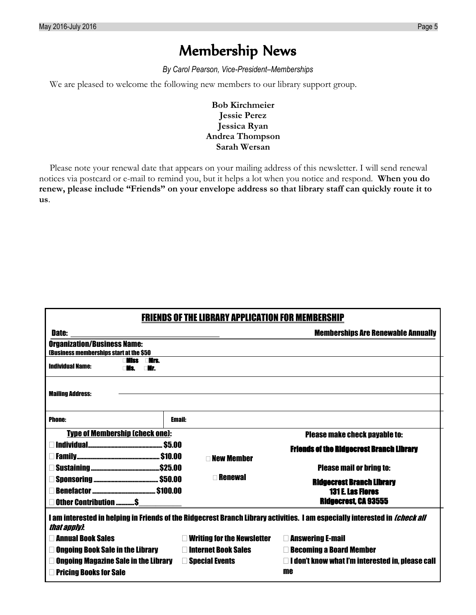### Membership News

*By Carol Pearson, Vice-President–Memberships*

We are pleased to welcome the following new members to our library support group.

**Bob Kirchmeier Jessie Perez Jessica Ryan Andrea Thompson Sarah Wersan**

Please note your renewal date that appears on your mailing address of this newsletter. I will send renewal notices via postcard or e-mail to remind you, but it helps a lot when you notice and respond. **When you do renew, please include "Friends" on your envelope address so that library staff can quickly route it to us**.

| <b>FRIENDS OF THE LIBRARY APPLICATION FOR MEMBERSHIP</b>                                                                           |                                   |                                                         |  |  |
|------------------------------------------------------------------------------------------------------------------------------------|-----------------------------------|---------------------------------------------------------|--|--|
| <b>Date:</b>                                                                                                                       |                                   | <b>Memberships Are Renewable Annually</b>               |  |  |
| <b>Organization/Business Name:</b>                                                                                                 |                                   |                                                         |  |  |
| (Business memberships start at the \$50<br>⊤Nrs.<br>Ajes                                                                           |                                   |                                                         |  |  |
| <b>Individual Name:</b><br>∩Mr                                                                                                     |                                   |                                                         |  |  |
|                                                                                                                                    |                                   |                                                         |  |  |
| <b>Mailing Address:</b>                                                                                                            |                                   |                                                         |  |  |
|                                                                                                                                    |                                   |                                                         |  |  |
| <b>Phone:</b>                                                                                                                      | Email:                            |                                                         |  |  |
| <b>Type of Membership (check one):</b><br><b>Please make check payable to:</b>                                                     |                                   |                                                         |  |  |
|                                                                                                                                    |                                   | <b>Friends of the Ridgecrest Branch Library</b>         |  |  |
|                                                                                                                                    | <b>New Member</b>                 |                                                         |  |  |
|                                                                                                                                    |                                   | <b>Please mail or bring to:</b>                         |  |  |
| <b>Renewal</b>                                                                                                                     |                                   | <b>Ridgecrest Branch Library</b>                        |  |  |
|                                                                                                                                    |                                   | <b>131 E. Las Flores</b>                                |  |  |
| <b>Ridgecrest, CA 93555</b><br>Other Contribution \$                                                                               |                                   |                                                         |  |  |
| I am interested in helping in Friends of the Ridgecrest Branch Library activities. I am especially interested in <i>(check all</i> |                                   |                                                         |  |  |
| that anniv}.                                                                                                                       |                                   |                                                         |  |  |
| □ Annual Book Sales                                                                                                                | $\Box$ Writing for the Newsletter | <b>Example 2</b> Answering E-mail                       |  |  |
| <b>Ongoing Book Sale in the Library</b>                                                                                            | □ Internet Book Sales             | <b>Execoming a Board Member</b>                         |  |  |
| <b>Ongoing Magazine Sale in the Library <math>\Box</math> Special Events</b>                                                       |                                   | $\Box$ I don't know what I'm interested in, please call |  |  |
| <b>Pricing Books for Sale</b>                                                                                                      |                                   | me                                                      |  |  |